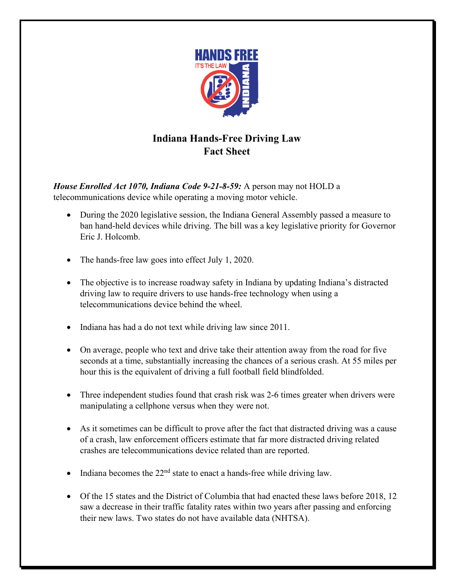

## **Indiana Hands-Free Driving Law Fact Sheet**

*House Enrolled Act 1070, Indiana Code 9-21-8-59:* A person may not HOLD a telecommunications device while operating a moving motor vehicle.

- During the 2020 legislative session, the Indiana General Assembly passed a measure to ban hand-held devices while driving. The bill was a key legislative priority for Governor Eric J. Holcomb.
- The hands-free law goes into effect July 1, 2020.
- The objective is to increase roadway safety in Indiana by updating Indiana's distracted driving law to require drivers to use hands-free technology when using a telecommunications device behind the wheel.
- Indiana has had a do not text while driving law since 2011.
- On average, people who text and drive take their attention away from the road for five seconds at a time, substantially increasing the chances of a serious crash. At 55 miles per hour this is the equivalent of driving a full football field blindfolded.
- Three independent studies found that crash risk was 2-6 times greater when drivers were manipulating a cellphone versus when they were not.
- As it sometimes can be difficult to prove after the fact that distracted driving was a cause of a crash, law enforcement officers estimate that far more distracted driving related crashes are telecommunications device related than are reported.
- Indiana becomes the  $22<sup>nd</sup>$  state to enact a hands-free while driving law.
- Of the 15 states and the District of Columbia that had enacted these laws before 2018, 12 saw a decrease in their traffic fatality rates within two years after passing and enforcing their new laws. Two states do not have available data (NHTSA).